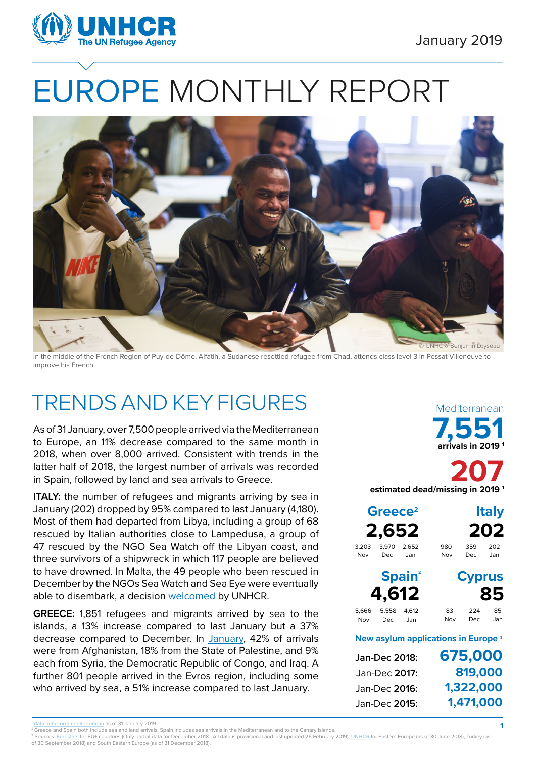

# EUROPE MONTHLY REPORT



In the middle of the French Region of Puy-de-Dôme, Alfatih, a Sudanese resettled refugee from Chad, attends class level 3 in Pessat-Villeneuve to improve his French.

# TRENDS AND KEY FIGURES

As of 31 January, over 7,500 people arrived via the Mediterranean to Europe, an 11% decrease compared to the same month in 2018, when over 8,000 arrived. Consistent with trends in the latter half of 2018, the largest number of arrivals was recorded in Spain, followed by land and sea arrivals to Greece.

**ITALY:** the number of refugees and migrants arriving by sea in January (202) dropped by 95% compared to last January (4,180). Most of them had departed from Libya, including a group of 68 rescued by Italian authorities close to Lampedusa, a group of 47 rescued by the NGO Sea Watch off the Libyan coast, and three survivors of a shipwreck in which 117 people are believed to have drowned. In Malta, the 49 people who been rescued in December by the NGOs Sea Watch and Sea Eye were eventually able to disembark, a decision [welcomed](https://www.unhcr.org/news/press/2019/1/5c361c824/unhcr-welcomes-malta-disembarkation-sea-watch-sea-eye-passengers-calls.html) by UNHCR.

**GREECE:** 1,851 refugees and migrants arrived by sea to the islands, a 13% increase compared to last January but a 37% decrease compared to December. In [January](https://data2.unhcr.org/en/documents/download/67987), 42% of arrivals were from Afghanistan, 18% from the State of Palestine, and 9% each from Syria, the Democratic Republic of Congo, and Iraq. A further 801 people arrived in the Evros region, including some who arrived by sea, a 51% increase compared to last January.

**7,551 arrivals in 2019 1** Mediterranean

**207 estimated dead/missing in 2019 1**

|              | Greece <sup>2</sup><br>2,652 |                          |                                                |               | <b>Italy</b><br>202 |
|--------------|------------------------------|--------------------------|------------------------------------------------|---------------|---------------------|
| 3.203<br>Nov | 3.970<br>Dec.                | 2.652<br>Jan             | 980<br>Nov                                     | 359<br>Dec    | 202<br>Jan          |
|              | 4,612                        | <b>Spain<sup>2</sup></b> |                                                | <b>Cyprus</b> | 85                  |
| 5,666<br>Nov | 5.558<br>Dec                 | 4.612<br>Jan             | 83<br>Nov                                      | 224<br>Dec    | 85<br>Jan           |
|              |                              |                          | New asylum applications in Europe <sup>3</sup> |               |                     |
|              | Jan-Dec 2018:                |                          | 675,000                                        |               |                     |

| 075,000   |
|-----------|
| 819,000   |
| 1,322,000 |
| 1,471,000 |
|           |

**1**

<sup>3</sup> Sources: Eurostats for EU+ countries (Only partial data for December 2018. All data is provisional and last updated 26 February 2019); <u>UNHCR f</u>or Eastern Europe (as of 30 June 2018), Turkey (as of 30 September 2018) and South Eastern Europe (as of 31 December 2018).

g/mediterranean as of 31 January 2019.

<sup>&</sup>lt;sup>2</sup> Greece and Spain both include sea and land arrivals; Spain includes sea arrivals in the Mediterranean and to the Canary Islands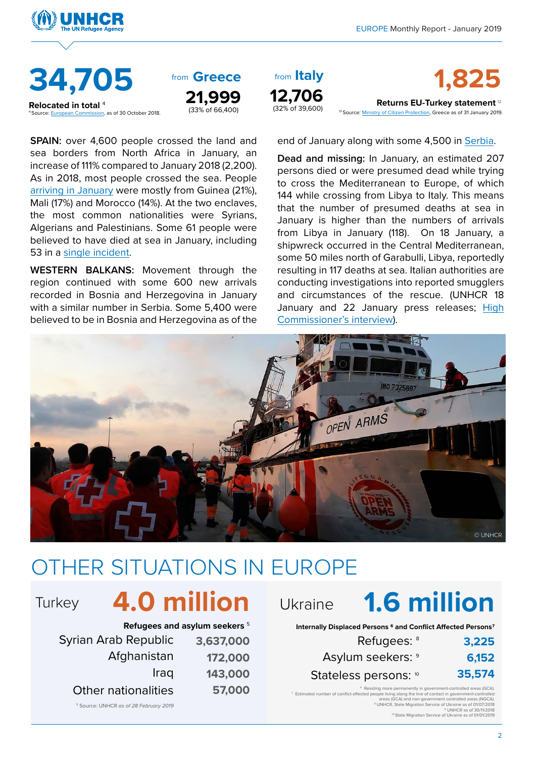<sup>12</sup> Source: **Ministry of Citizen Protection**, Greece as of 31 January 2019.





**Relocated in total 4**<br><sup>4</sup> Source: European Commission, as of 30 October 2018

from Greece **21,999**  $(33\% \text{ of } 66,400)$ 

**SPAIN:** over 4,600 people crossed the land and sea borders from North Africa in January, an increase of 111% compared to January 2018 (2,200). As in 2018, most people crossed the sea. People [arriving in January](https://data2.unhcr.org/en/documents/download/68108) were mostly from Guinea (21%), Mali (17%) and Morocco (14%). At the two enclaves, the most common nationalities were Syrians, Algerians and Palestinians. Some 61 people were believed to have died at sea in January, including 53 in a [single incident.](https://www.unhcr.org/news/press/2019/1/5c41e8a04/unhcr-appalled-news-refugee-migrant-deaths-mediterranean-sea.html)

**WESTERN BALKANS:** Movement through the region continued with some 600 new arrivals recorded in Bosnia and Herzegovina in January with a similar number in Serbia. Some 5,400 were believed to be in Bosnia and Herzegovina as of the



from from **1,825 Returns EU-Turkey statement** <sup>12</sup>

end of January along with some 4,500 in [Serbia.](https://data2.unhcr.org/en/documents/download/67819)

**Dead and missing:** In January, an estimated 207 persons died or were presumed dead while trying to cross the Mediterranean to Europe, of which 144 while crossing from Libya to Italy. This means that the number of presumed deaths at sea in January is higher than the numbers of arrivals from Libya in January (118). On 18 January, a shipwreck occurred in the Central Mediterranean, some 50 miles north of Garabulli, Libya, reportedly resulting in 117 deaths at sea. Italian authorities are conducting investigations into reported smugglers and circumstances of the rescue. (UNHCR 18 January and 22 January press releases; [High](https://www.unhcr.it/news/lunhcr-chiede-unazione-urgente-alla-luce-dei-nuovi-morti-nel-mediterraneo-pieno-inverno.html) [Commissioner's interview](https://www.unhcr.it/news/lunhcr-chiede-unazione-urgente-alla-luce-dei-nuovi-morti-nel-mediterraneo-pieno-inverno.html)).



# OTHER SITUATIONS IN EUROPE

# Turkey **4.0 million** Ukraine

| Refugees and asylum seekers 5 |           |  |  |
|-------------------------------|-----------|--|--|
| Syrian Arab Republic          | 3,637,000 |  |  |
| Afghanistan                   | 172,000   |  |  |
| Iraq                          | 143,000   |  |  |
| <b>Other nationalities</b>    | 57,000    |  |  |

5 Source: UNHCR *as of 28 February 2019*

# **1.6 million**

**Internally Displaced Persons 6 and Conflict Affected Persons7**

| 3,225  | Refugees: <sup>8</sup> |
|--------|------------------------|
| 6,152  | Asylum seekers: 9      |
| 35,574 | Stateless persons: 10  |

<sup>6</sup> Residing more permanently in government-controlled areas (GCA) 7 Estimated number of conflict-affected people living along the line of contact in government-controlled areas (GCA) and non-government controlled areas (NGCA). 8 UNHCR, State Migration Service of Ukraine as of 01/07/2018

9 UNHCR as of 30/11/2018 10 State Migration Service of Ukraine as of 01/01/2019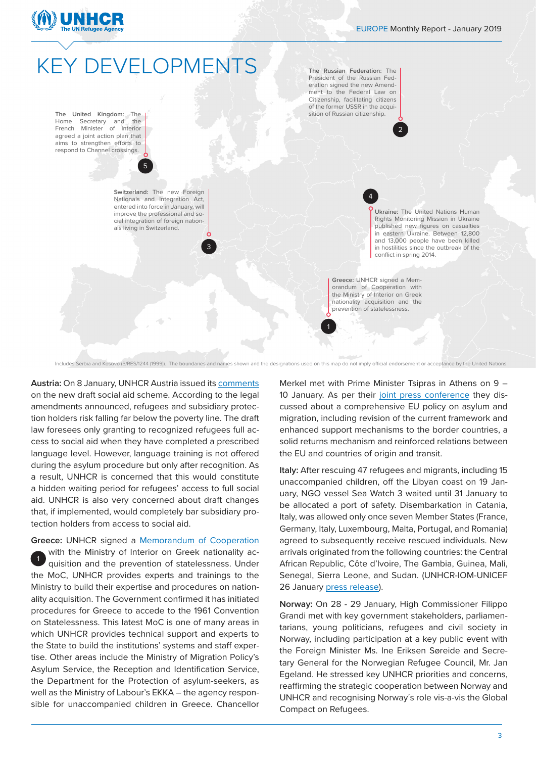

## **KEY DEVELOPMENTS**

5

**The United Kingdom:** The Home Secretary and the<br>French Minister of Interior French Minister agreed a joint action plan that aims to strengthen efforts to respond to Channel crossings.

> **Switzerland:** The new Foreign Nationals and Integration Act, entered into force in January, will improve the professional and social integration of foreign nationals living in Switzerland.

> > 3

**The Russian Federation:** The President of the Russian Federation signed the new Amendment to the Federal Law on Citizenship, facilitating citizens of the former USSR in the acquisition of Russian citizenship.

4

2

**Ukraine:** The United Nations Human Rights Monitoring Mission in Ukraine published new figures on casualties in eastern Ukraine. Between 12,800 and 13,000 people have been killed in hostilities since the outbreak of the conflict in spring 2014.

**Greece:** UNHCR signed a Memorandum of Cooperation with the Ministry of Interior on Greek nationality acquisition and the prevention of statelessness.

1

Includes Serbia and Kosovo (S/RES/1244 (1999)). The boundaries and names shown and the designations used on this map do not imply official endorsement or acceptance by the United Nations

**Austria:** On 8 January, UNHCR Austria issued its [comments](https://www.unhcr.org/dach/wp-content/uploads/sites/27/2019/01/Analyse-des-Entwurfs-f%C3%BCr-ein-SozialhilfeGrundsatzgesetz.pdf) on the new draft social aid scheme. According to the legal amendments announced, refugees and subsidiary protection holders risk falling far below the poverty line. The draft law foresees only granting to recognized refugees full access to social aid when they have completed a prescribed language level. However, language training is not offered during the asylum procedure but only after recognition. As a result, UNHCR is concerned that this would constitute a hidden waiting period for refugees' access to full social aid. UNHCR is also very concerned about draft changes that, if implemented, would completely bar subsidiary protection holders from access to social aid.

**Greece:** UNHCR signed a [Memorandum of Cooperation](https://emea01.safelinks.protection.outlook.com/?url=https%3A%2F%2Fwww.unhcr.org%2Fgr%2F10954-mnimonio_synergasias.html&data=02%7C01%7Cbiza%40unhcr.org%7C2e4c188cc6cb47ccd40408d6a1697dd1%7Ce5c37981666441348a0c6543d2af80be%7C0%7C0%7C636873871782374574&sdata=3%2BnJ889w4mtrM%2FdIMV4M9b1JQHdicykwRUYLVQUskwo%3D&reserved=0)

with the Ministry of Interior on Greek nationality acquisition and the prevention of statelessness. Under the MoC, UNHCR provides experts and trainings to the Ministry to build their expertise and procedures on nationality acquisition. The Government confirmed it has initiated procedures for Greece to accede to the 1961 Convention on Statelessness. This latest MoC is one of many areas in which UNHCR provides technical support and experts to the State to build the institutions' systems and staff expertise. Other areas include the Ministry of Migration Policy's Asylum Service, the Reception and Identification Service, the Department for the Protection of asylum-seekers, as well as the Ministry of Labour's EKKA – the agency responsible for unaccompanied children in Greece. Chancellor 1

Merkel met with Prime Minister Tsipras in Athens on 9 – 10 January. As per their [joint press conference](https://www.youtube.com/watch?v=wljc3gsL_8Q&feature=youtu.be) they discussed about a comprehensive EU policy on asylum and migration, including revision of the current framework and enhanced support mechanisms to the border countries, a solid returns mechanism and reinforced relations between the EU and countries of origin and transit.

**Italy:** After rescuing 47 refugees and migrants, including 15 unaccompanied children, off the Libyan coast on 19 January, NGO vessel Sea Watch 3 waited until 31 January to be allocated a port of safety. Disembarkation in Catania, Italy, was allowed only once seven Member States (France, Germany, Italy, Luxembourg, Malta, Portugal, and Romania) agreed to subsequently receive rescued individuals. New arrivals originated from the following countries: the Central African Republic, Côte d'Ivoire, The Gambia, Guinea, Mali, Senegal, Sierra Leone, and Sudan. (UNHCR-IOM-UNICEF 26 January [press release\)](https://www.unhcr.it/news/comunicati-stampa/urgente-garantire-lo-sbarco-un-porto-sicuro-ai-47-migranti-rifugiati-7-giorni-bordo-della-seawatch3.html).

**Norway:** On 28 - 29 January, High Commissioner Filippo Grandi met with key government stakeholders, parliamentarians, young politicians, refugees and civil society in Norway, including participation at a key public event with the Foreign Minister Ms. Ine Eriksen Søreide and Secretary General for the Norwegian Refugee Council, Mr. Jan Egeland. He stressed key UNHCR priorities and concerns, reaffirming the strategic cooperation between Norway and UNHCR and recognising Norway´s role vis-a-vis the Global Compact on Refugees.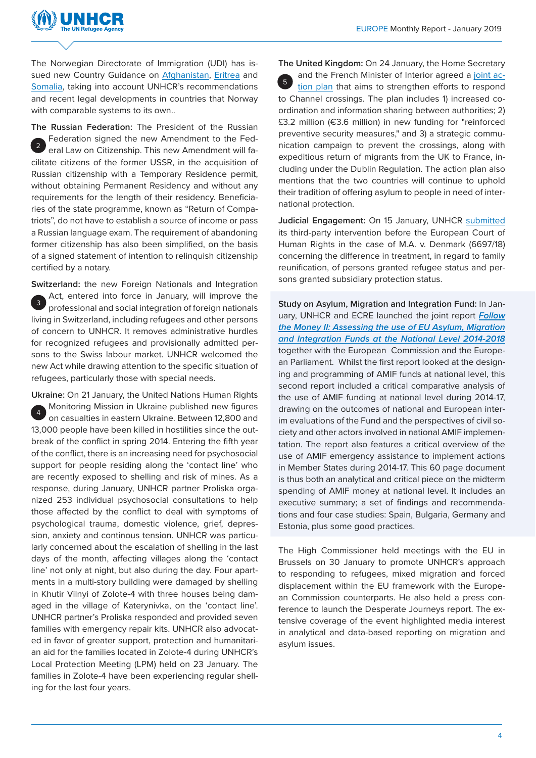

The Norwegian Directorate of Immigration (UDI) has issued new Country Guidance on [Afghanistan](https://udiregelverk.no/no/rettskilder/udi-praksisnotater/pn-2014-004/), [Eritrea](https://www.regjeringen.no/no/dokumenter/gi-132018--instruks-om-praktisering-av-utlendingsloven--28-forste-ledd-bokstav-b--nasjonaltjenesten-i-eritrea/id2617831/) and [Somalia](https://udiregelverk.no/no/rettskilder/udi-praksisnotater/pn-2018-002/), taking into account UNHCR's recommendations and recent legal developments in countries that Norway with comparable systems to its own..

**The Russian Federation:** The President of the Russian Federation signed the new Amendment to the Federal Law on Citizenship. This new Amendment will facilitate citizens of the former USSR, in the acquisition of Russian citizenship with a Temporary Residence permit, without obtaining Permanent Residency and without any requirements for the length of their residency. Beneficiaries of the state programme, known as "Return of Compatriots", do not have to establish a source of income or pass a Russian language exam. The requirement of abandoning former citizenship has also been simplified, on the basis of a signed statement of intention to relinquish citizenship certified by a notary. 2

**Switzerland:** the new Foreign Nationals and Integration Act, entered into force in January, will improve the professional and social integration of foreign nationals living in Switzerland, including refugees and other persons of concern to UNHCR. It removes administrative hurdles for recognized refugees and provisionally admitted persons to the Swiss labour market. UNHCR welcomed the new Act while drawing attention to the specific situation of refugees, particularly those with special needs. 3

**Ukraine:** On 21 January, the United Nations Human Rights Monitoring Mission in Ukraine published new figures on casualties in eastern Ukraine. Between 12,800 and 13,000 people have been killed in hostilities since the outbreak of the conflict in spring 2014. Entering the fifth year of the conflict, there is an increasing need for psychosocial support for people residing along the 'contact line' who are recently exposed to shelling and risk of mines. As a response, during January, UNHCR partner Proliska organized 253 individual psychosocial consultations to help those affected by the conflict to deal with symptoms of psychological trauma, domestic violence, grief, depression, anxiety and continous tension. UNHCR was particularly concerned about the escalation of shelling in the last days of the month, affecting villages along the 'contact line' not only at night, but also during the day. Four apartments in a multi-story building were damaged by shelling in Khutir Vilnyi of Zolote-4 with three houses being damaged in the village of Katerynivka, on the 'contact line'. UNHCR partner's Proliska responded and provided seven families with emergency repair kits. UNHCR also advocated in favor of greater support, protection and humanitarian aid for the families located in Zolote-4 during UNHCR's Local Protection Meeting (LPM) held on 23 January. The families in Zolote-4 have been experiencing regular shelling for the last four years. 4

**The United Kingdom:** On 24 January, the Home Secretary and the French Minister of Interior agreed a [joint ac](https://www.gov.uk/government/news/uk-and-france-sign-action-plan-to-tackle-small-boat-crossings)[tion plan](https://www.gov.uk/government/news/uk-and-france-sign-action-plan-to-tackle-small-boat-crossings) that aims to strengthen efforts to respond to Channel crossings. The plan includes 1) increased coordination and information sharing between authorities; 2) £3.2 million (€3.6 million) in new funding for "reinforced preventive security measures," and 3) a strategic communication campaign to prevent the crossings, along with expeditious return of migrants from the UK to France, including under the Dublin Regulation. The action plan also mentions that the two countries will continue to uphold their tradition of offering asylum to people in need of international protection. 5

Judicial Engagement: On 15 January, UNHCR [submitted](http://hudoc.echr.coe.int/eng?i=001-186559) its third-party intervention before the European Court of Human Rights in the case of M.A. v. Denmark (6697/18) concerning the difference in treatment, in regard to family reunification, of persons granted refugee status and persons granted subsidiary protection status.

**Study on Asylum, Migration and Integration Fund:** In January, UNHCR and ECRE launched the joint report *[Follow](https://www.refworld.org/docid/5c52d3e34.html) [the Money II: Assessing the use of EU Asylum, Migration](https://www.refworld.org/docid/5c52d3e34.html) [and Integration Funds at the National Level 2014-2018](https://www.refworld.org/docid/5c52d3e34.html)* together with the European Commission and the European Parliament. Whilst the first report looked at the designing and programming of AMIF funds at national level, this second report included a critical comparative analysis of the use of AMIF funding at national level during 2014-17, drawing on the outcomes of national and European interim evaluations of the Fund and the perspectives of civil society and other actors involved in national AMIF implementation. The report also features a critical overview of the use of AMIF emergency assistance to implement actions in Member States during 2014-17. This 60 page document is thus both an analytical and critical piece on the midterm spending of AMIF money at national level. It includes an executive summary; a set of findings and recommendations and four case studies: Spain, Bulgaria, Germany and Estonia, plus some good practices.

The High Commissioner held meetings with the EU in Brussels on 30 January to promote UNHCR's approach to responding to refugees, mixed migration and forced displacement within the EU framework with the European Commission counterparts. He also held a press conference to launch the Desperate Journeys report. The extensive coverage of the event highlighted media interest in analytical and data-based reporting on migration and asylum issues.